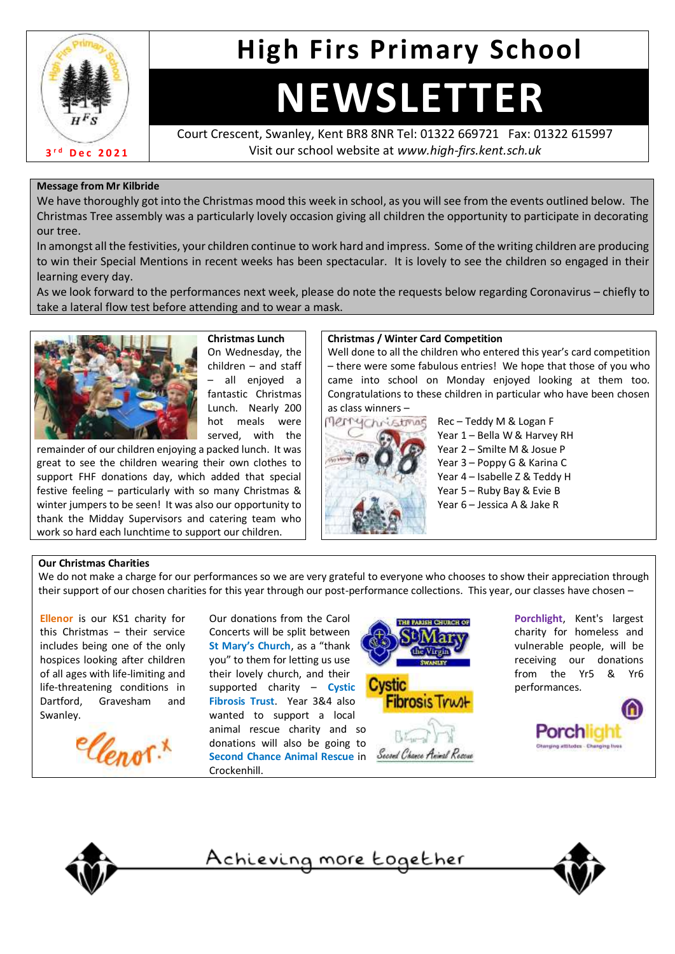

# **High Firs Primary School**

# **NEWSLETTER**

Court Crescent, Swanley, Kent BR8 8NR Tel: 01322 669721 Fax: 01322 615997 Visit our school website at *www.high-firs.kent.sch.uk*

#### **Message from Mr Kilbride**

We have thoroughly got into the Christmas mood this week in school, as you will see from the events outlined below. The Christmas Tree assembly was a particularly lovely occasion giving all children the opportunity to participate in decorating our tree.

In amongst all the festivities, your children continue to work hard and impress. Some of the writing children are producing to win their Special Mentions in recent weeks has been spectacular. It is lovely to see the children so engaged in their learning every day.

As we look forward to the performances next week, please do note the requests below regarding Coronavirus – chiefly to take a lateral flow test before attending and to wear a mask.



**Christmas Lunch**  On Wednesday, the children – and staff – all enjoyed a fantastic Christmas Lunch. Nearly 200 hot meals were served, with the

remainder of our children enjoying a packed lunch. It was great to see the children wearing their own clothes to support FHF donations day, which added that special festive feeling – particularly with so many Christmas & winter jumpers to be seen! It was also our opportunity to thank the Midday Supervisors and catering team who work so hard each lunchtime to support our children.

#### **Christmas / Winter Card Competition**

Well done to all the children who entered this year's card competition – there were some fabulous entries! We hope that those of you who came into school on Monday enjoyed looking at them too. Congratulations to these children in particular who have been chosen as class winners –



Rec – Teddy M & Logan F Year 1 – Bella W & Harvey RH Year 2 – Smilte M & Josue P Year 3 – Poppy G & Karina C Year 4 – Isabelle Z & Teddy H Year 5 – Ruby Bay & Evie B Year 6 – Jessica A & Jake R

#### **Our Christmas Charities**

We do not make a charge for our performances so we are very grateful to everyone who chooses to show their appreciation through their support of our chosen charities for this year through our post-performance collections. This year, our classes have chosen –

**Ellenor** is our KS1 charity for this Christmas – their service includes being one of the only hospices looking after children of all ages with life-limiting and life-threatening conditions in Dartford, Gravesham and Swanley.



Our donations from the Carol Concerts will be split between **St Mary's Church**, as a "thank you" to them for letting us use their lovely church, and their supported charity – **Cystic Fibrosis Trust**. Year 3&4 also wanted to support a local animal rescue charity and so donations will also be going to **Second Chance Animal Rescue** in Crockenhill.



**Porchlight**, Kent's largest charity for homeless and vulnerable people, will be receiving our donations from the Yr5 & Yr6 performances.





Achieving more together

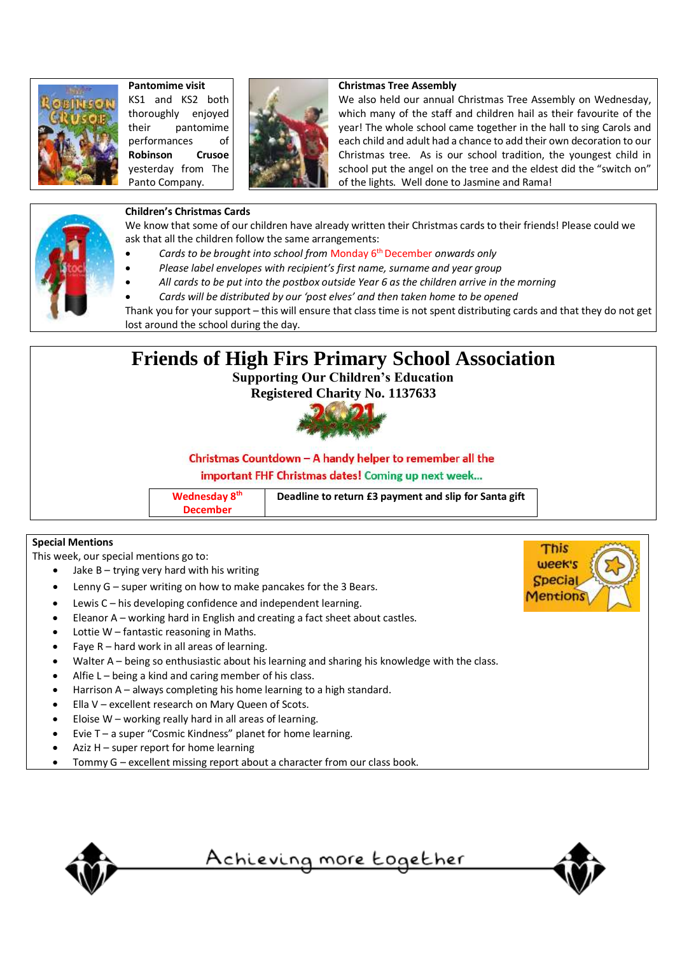

## **Pantomime visit**

KS1 and KS2 both thoroughly enjoyed their pantomime performances of **Robinson Crusoe** yesterday from The Panto Company.



#### **Christmas Tree Assembly**

We also held our annual Christmas Tree Assembly on Wednesday, which many of the staff and children hail as their favourite of the year! The whole school came together in the hall to sing Carols and each child and adult had a chance to add their own decoration to our Christmas tree. As is our school tradition, the youngest child in school put the angel on the tree and the eldest did the "switch on" of the lights. Well done to Jasmine and Rama!



#### **Children's Christmas Cards**

We know that some of our children have already written their Christmas cards to their friends! Please could we ask that all the children follow the same arrangements:

- *Cards to be brought into school from* Monday 6th December *onwards only*
- *Please label envelopes with recipient's first name, surname and year group*
- *All cards to be put into the postbox outside Year 6 as the children arrive in the morning*
- *Cards will be distributed by our 'post elves' and then taken home to be opened*

Thank you for your support – this will ensure that class time is not spent distributing cards and that they do not get lost around the school during the day.



#### **Special Mentions**

This week, our special mentions go to:

- Jake  $B trying$  very hard with his writing
- Lenny  $G$  super writing on how to make pancakes for the 3 Bears.
- Lewis  $C h$  is developing confidence and independent learning.
- Eleanor A working hard in English and creating a fact sheet about castles.
- Lottie  $W$  fantastic reasoning in Maths.
- Faye  $R$  hard work in all areas of learning.
- Walter A being so enthusiastic about his learning and sharing his knowledge with the class.
- Alfie  $L$  being a kind and caring member of his class.
- Harrison A always completing his home learning to a high standard.
- Ella V excellent research on Mary Queen of Scots.
- Eloise  $W$  working really hard in all areas of learning.
- Evie T a super "Cosmic Kindness" planet for home learning.
- Aziz  $H$  super report for home learning
- Tommy G excellent missing report about a character from our class book.



<u>Achieving more together</u>



This week's **Specia** entions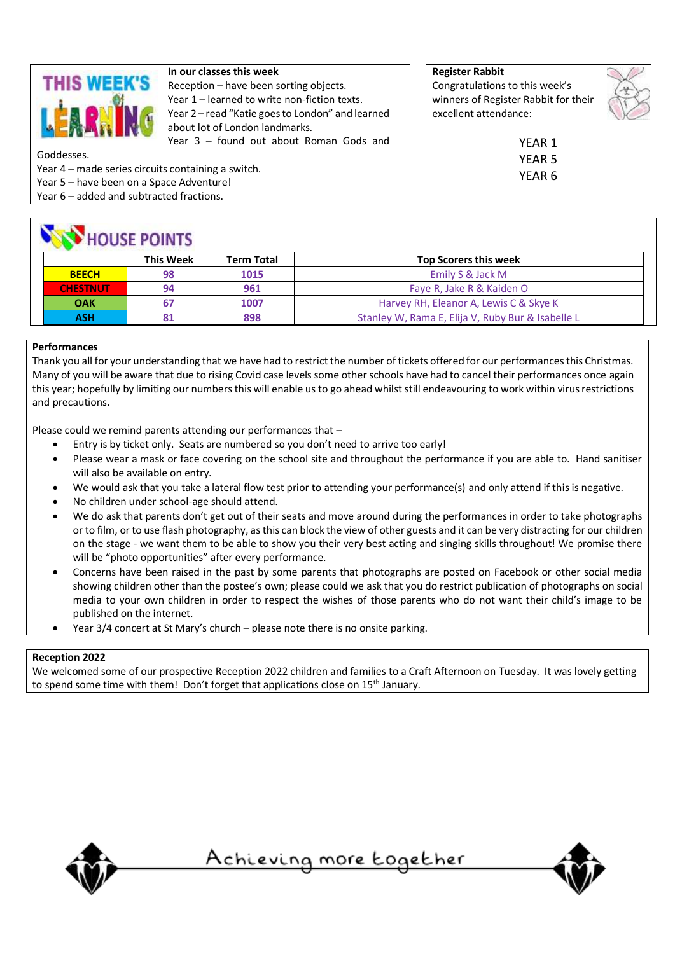

#### **In our classes this week**

Reception – have been sorting objects. Year 1 – learned to write non-fiction texts. Year 2 – read "Katie goes to London" and learned about lot of London landmarks. Year 3 – found out about Roman Gods and

Goddesses.

Year 4 – made series circuits containing a switch.

Year 5 – have been on a Space Adventure!

Year 6 – added and subtracted fractions.

## **NEW HOUSE BOINTS**

**Register Rabbit** Congratulations to this week's winners of Register Rabbit for their excellent attendance:



YEAR 1 YEAR 5 YEAR 6

|                 | <b>This Week</b> | <b>Term Total</b> | <b>Top Scorers this week</b>                      |
|-----------------|------------------|-------------------|---------------------------------------------------|
| <b>BEECH</b>    | 98               | 1015              | Emily S & Jack M                                  |
| <b>CHESTNUT</b> | 94               | 961               | Faye R, Jake R & Kaiden O                         |
| <b>OAK</b>      | 67               | 1007              | Harvey RH, Eleanor A, Lewis C & Skye K            |
| <b>ASH</b>      | 81               | 898               | Stanley W, Rama E, Elija V, Ruby Bur & Isabelle L |

#### **Performances**

Thank you all for your understanding that we have had to restrict the number of tickets offered for our performances this Christmas. Many of you will be aware that due to rising Covid case levels some other schools have had to cancel their performances once again this year; hopefully by limiting our numbers this will enable us to go ahead whilst still endeavouring to work within virus restrictions and precautions.

Please could we remind parents attending our performances that –

- Entry is by ticket only. Seats are numbered so you don't need to arrive too early!
- Please wear a mask or face covering on the school site and throughout the performance if you are able to. Hand sanitiser will also be available on entry.
- We would ask that you take a lateral flow test prior to attending your performance(s) and only attend if this is negative.
- No children under school-age should attend.
- We do ask that parents don't get out of their seats and move around during the performances in order to take photographs or to film, or to use flash photography, asthis can block the view of other guests and it can be very distracting for our children on the stage - we want them to be able to show you their very best acting and singing skills throughout! We promise there will be "photo opportunities" after every performance.
- Concerns have been raised in the past by some parents that photographs are posted on Facebook or other social media showing children other than the postee's own; please could we ask that you do restrict publication of photographs on social media to your own children in order to respect the wishes of those parents who do not want their child's image to be published on the internet.
- Year 3/4 concert at St Mary's church please note there is no onsite parking.

#### **Reception 2022**

We welcomed some of our prospective Reception 2022 children and families to a Craft Afternoon on Tuesday. It was lovely getting to spend some time with them! Don't forget that applications close on 15<sup>th</sup> January.



<u>Achieving more together</u>

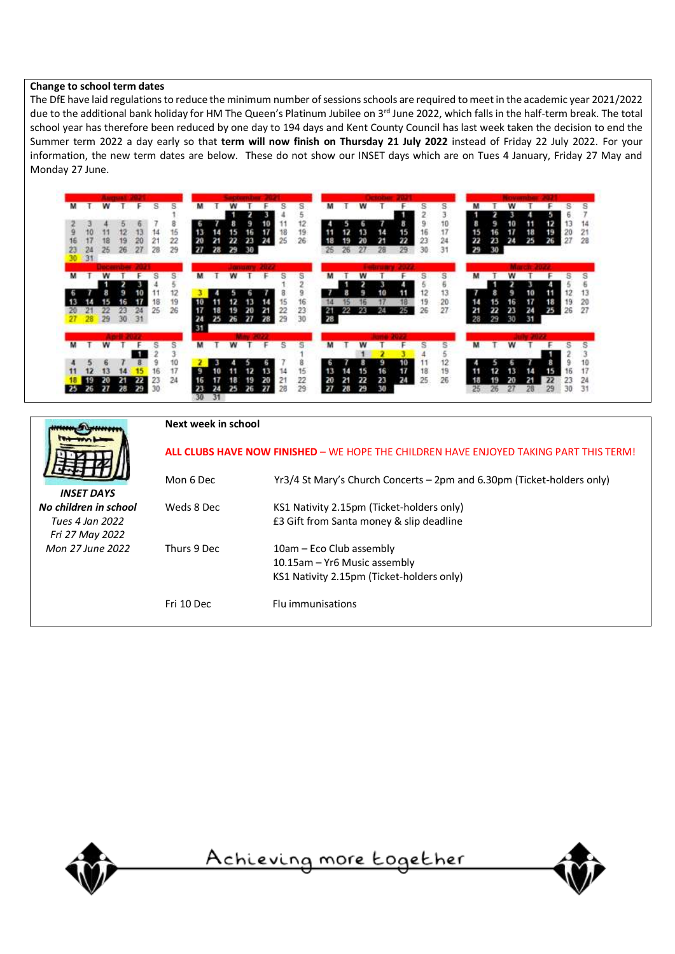#### **Change to school term dates**

The DfE have laid regulations to reduce the minimum number of sessions schools are required to meet in the academic year 2021/2022 due to the additional bank holiday for HM The Queen's Platinum Jubilee on 3rd June 2022, which falls in the half-term break. The total school year has therefore been reduced by one day to 194 days and Kent County Council has last week taken the decision to end the Summer term 2022 a day early so that **term will now finish on Thursday 21 July 2022** instead of Friday 22 July 2022. For your information, the new term dates are below. These do not show our INSET days which are on Tues 4 January, Friday 27 May and Monday 27 June.



|                       | Next week in school                                                                           |                                                                        |  |
|-----------------------|-----------------------------------------------------------------------------------------------|------------------------------------------------------------------------|--|
|                       | <b>ALL CLUBS HAVE NOW FINISHED</b> - WE HOPE THE CHILDREN HAVE ENJOYED TAKING PART THIS TERM! |                                                                        |  |
|                       | Mon 6 Dec                                                                                     | Yr3/4 St Mary's Church Concerts – 2pm and 6.30pm (Ticket-holders only) |  |
| <b>INSET DAYS</b>     |                                                                                               |                                                                        |  |
| No children in school | Weds 8 Dec                                                                                    | KS1 Nativity 2.15pm (Ticket-holders only)                              |  |
| Tues 4 Jan 2022       |                                                                                               | £3 Gift from Santa money & slip deadline                               |  |
| Fri 27 May 2022       |                                                                                               |                                                                        |  |
| Mon 27 June 2022      | Thurs 9 Dec                                                                                   | 10am – Eco Club assembly                                               |  |
|                       |                                                                                               | 10.15am - Yr6 Music assembly                                           |  |
|                       |                                                                                               | KS1 Nativity 2.15pm (Ticket-holders only)                              |  |
|                       | Fri 10 Dec                                                                                    | Flu immunisations                                                      |  |



<u>Achieving more together</u>